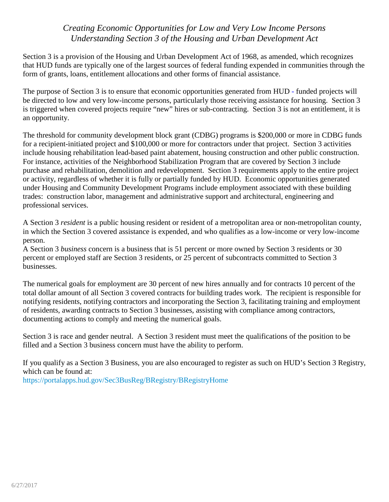## *Creating Economic Opportunities for Low and Very Low Income Persons Understanding Section 3 of the Housing and Urban Development Act*

Section 3 is a provision of the Housing and Urban Development Act of 1968, as amended, which recognizes that HUD funds are typically one of the largest sources of federal funding expended in communities through the form of grants, loans, entitlement allocations and other forms of financial assistance.

The purpose of Section 3 is to ensure that economic opportunities generated from HUD - funded projects will be directed to low and very low-income persons, particularly those receiving assistance for housing. Section 3 is triggered when covered projects require "new" hires or sub-contracting. Section 3 is not an entitlement, it is an opportunity.

The threshold for community development block grant (CDBG) programs is \$200,000 or more in CDBG funds for a recipient-initiated project and \$100,000 or more for contractors under that project. Section 3 activities include housing rehabilitation lead-based paint abatement, housing construction and other public construction. For instance, activities of the Neighborhood Stabilization Program that are covered by Section 3 include purchase and rehabilitation, demolition and redevelopment. Section 3 requirements apply to the entire project or activity, regardless of whether it is fully or partially funded by HUD. Economic opportunities generated under Housing and Community Development Programs include employment associated with these building trades: construction labor, management and administrative support and architectural, engineering and professional services.

A Section 3 *resident* is a public housing resident or resident of a metropolitan area or non-metropolitan county, in which the Section 3 covered assistance is expended, and who qualifies as a low-income or very low-income person.

A Section 3 *business* concern is a business that is 51 percent or more owned by Section 3 residents or 30 percent or employed staff are Section 3 residents, or 25 percent of subcontracts committed to Section 3 businesses.

The numerical goals for employment are 30 percent of new hires annually and for contracts 10 percent of the total dollar amount of all Section 3 covered contracts for building trades work. The recipient is responsible for notifying residents, notifying contractors and incorporating the Section 3, facilitating training and employment of residents, awarding contracts to Section 3 businesses, assisting with compliance among contractors, documenting actions to comply and meeting the numerical goals.

Section 3 is race and gender neutral. A Section 3 resident must meet the qualifications of the position to be filled and a Section 3 business concern must have the ability to perform.

If you qualify as a Section 3 Business, you are also encouraged to register as such on HUD's Section 3 Registry, which can be found at: <https://portalapps.hud.gov/Sec3BusReg/BRegistry/BRegistryHome>